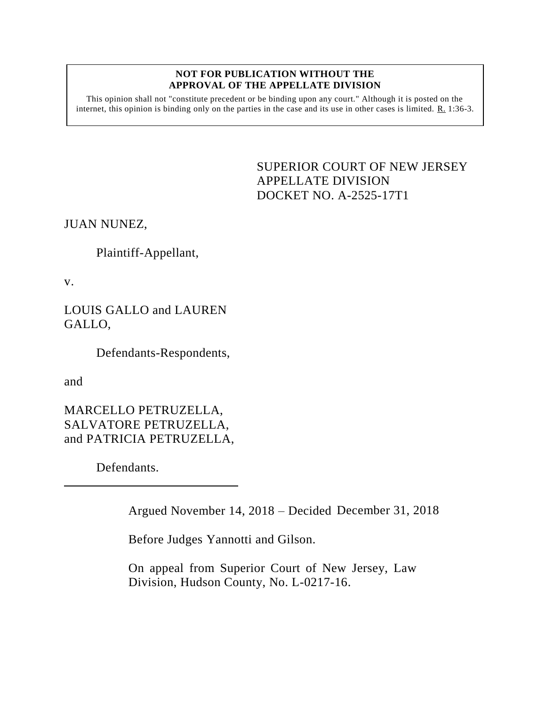## **NOT FOR PUBLICATION WITHOUT THE APPROVAL OF THE APPELLATE DIVISION**

This opinion shall not "constitute precedent or be binding upon any court." Although it is posted on the internet, this opinion is binding only on the parties in the case and its use in other cases is limited.  $R_1$  1:36-3.

> SUPERIOR COURT OF NEW JERSEY APPELLATE DIVISION DOCKET NO. A-2525-17T1

JUAN NUNEZ,

Plaintiff-Appellant,

v.

LOUIS GALLO and LAUREN GALLO,

Defendants-Respondents,

and

MARCELLO PETRUZELLA, SALVATORE PETRUZELLA, and PATRICIA PETRUZELLA,

Defendants.

Argued November 14, 2018 – Decided December 31, 2018

Before Judges Yannotti and Gilson.

On appeal from Superior Court of New Jersey, Law Division, Hudson County, No. L-0217-16.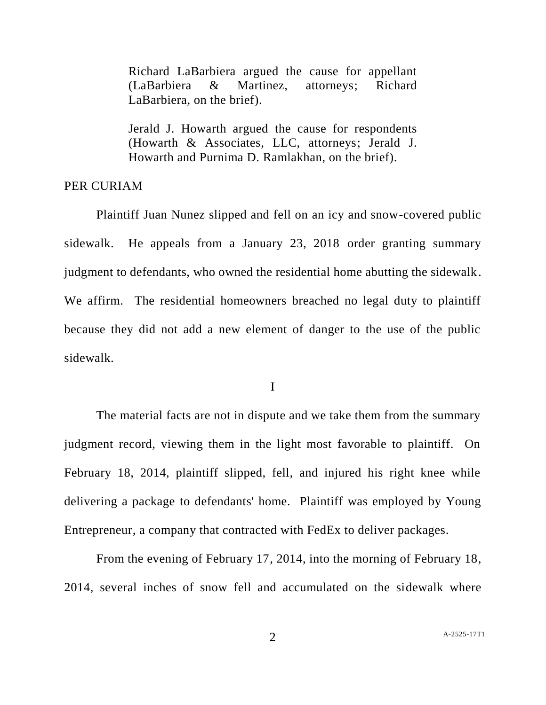Richard LaBarbiera argued the cause for appellant (LaBarbiera & Martinez, attorneys; Richard LaBarbiera, on the brief).

Jerald J. Howarth argued the cause for respondents (Howarth & Associates, LLC, attorneys; Jerald J. Howarth and Purnima D. Ramlakhan, on the brief).

## PER CURIAM

Plaintiff Juan Nunez slipped and fell on an icy and snow-covered public sidewalk. He appeals from a January 23, 2018 order granting summary judgment to defendants, who owned the residential home abutting the sidewalk. We affirm. The residential homeowners breached no legal duty to plaintiff because they did not add a new element of danger to the use of the public sidewalk.

I

The material facts are not in dispute and we take them from the summary judgment record, viewing them in the light most favorable to plaintiff. On February 18, 2014, plaintiff slipped, fell, and injured his right knee while delivering a package to defendants' home. Plaintiff was employed by Young Entrepreneur, a company that contracted with FedEx to deliver packages.

From the evening of February 17, 2014, into the morning of February 18, 2014, several inches of snow fell and accumulated on the sidewalk where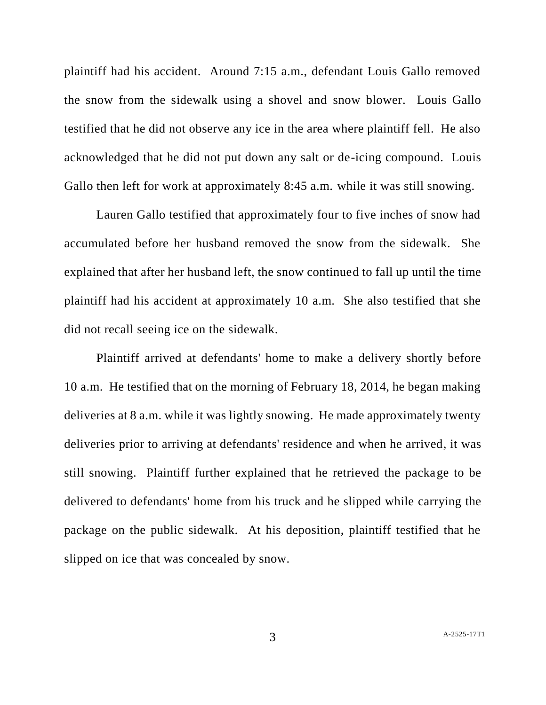plaintiff had his accident. Around 7:15 a.m., defendant Louis Gallo removed the snow from the sidewalk using a shovel and snow blower. Louis Gallo testified that he did not observe any ice in the area where plaintiff fell. He also acknowledged that he did not put down any salt or de-icing compound. Louis Gallo then left for work at approximately 8:45 a.m. while it was still snowing.

Lauren Gallo testified that approximately four to five inches of snow had accumulated before her husband removed the snow from the sidewalk. She explained that after her husband left, the snow continued to fall up until the time plaintiff had his accident at approximately 10 a.m. She also testified that she did not recall seeing ice on the sidewalk.

Plaintiff arrived at defendants' home to make a delivery shortly before 10 a.m. He testified that on the morning of February 18, 2014, he began making deliveries at 8 a.m. while it was lightly snowing. He made approximately twenty deliveries prior to arriving at defendants' residence and when he arrived, it was still snowing. Plaintiff further explained that he retrieved the package to be delivered to defendants' home from his truck and he slipped while carrying the package on the public sidewalk. At his deposition, plaintiff testified that he slipped on ice that was concealed by snow.

3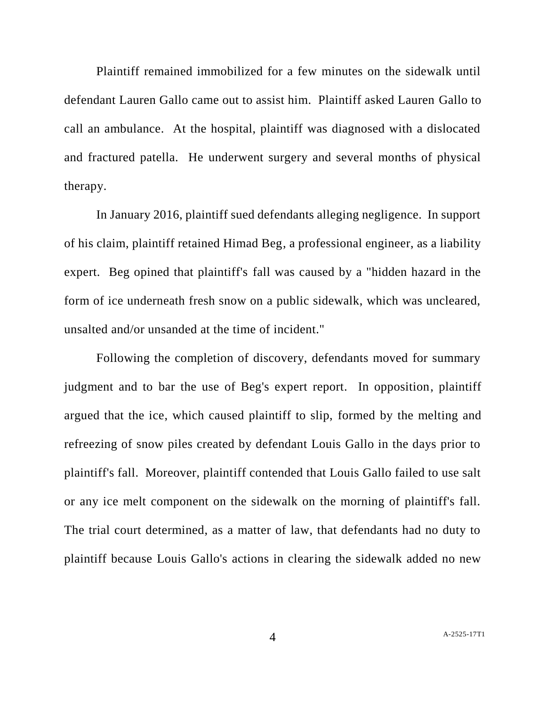Plaintiff remained immobilized for a few minutes on the sidewalk until defendant Lauren Gallo came out to assist him. Plaintiff asked Lauren Gallo to call an ambulance. At the hospital, plaintiff was diagnosed with a dislocated and fractured patella. He underwent surgery and several months of physical therapy.

In January 2016, plaintiff sued defendants alleging negligence. In support of his claim, plaintiff retained Himad Beg, a professional engineer, as a liability expert. Beg opined that plaintiff's fall was caused by a "hidden hazard in the form of ice underneath fresh snow on a public sidewalk, which was uncleared, unsalted and/or unsanded at the time of incident."

Following the completion of discovery, defendants moved for summary judgment and to bar the use of Beg's expert report. In opposition, plaintiff argued that the ice, which caused plaintiff to slip, formed by the melting and refreezing of snow piles created by defendant Louis Gallo in the days prior to plaintiff's fall. Moreover, plaintiff contended that Louis Gallo failed to use salt or any ice melt component on the sidewalk on the morning of plaintiff's fall. The trial court determined, as a matter of law, that defendants had no duty to plaintiff because Louis Gallo's actions in clearing the sidewalk added no new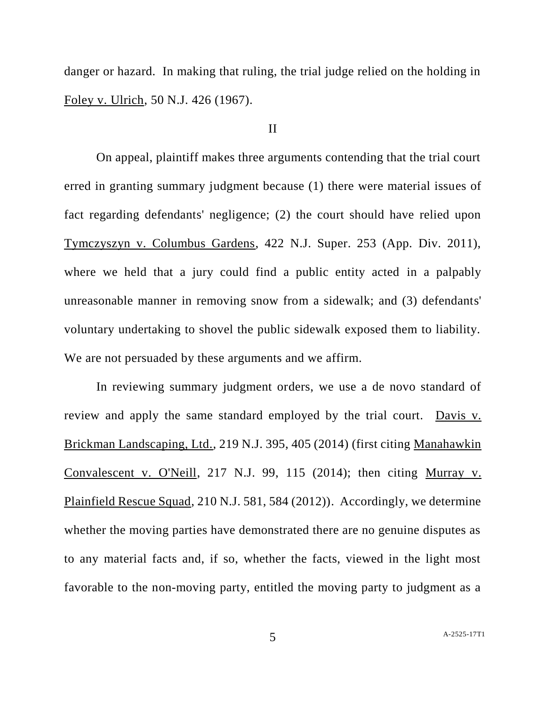danger or hazard. In making that ruling, the trial judge relied on the holding in Foley v. Ulrich, 50 N.J. 426 (1967).

## II

On appeal, plaintiff makes three arguments contending that the trial court erred in granting summary judgment because (1) there were material issues of fact regarding defendants' negligence; (2) the court should have relied upon Tymczyszyn v. Columbus Gardens, 422 N.J. Super. 253 (App. Div. 2011), where we held that a jury could find a public entity acted in a palpably unreasonable manner in removing snow from a sidewalk; and (3) defendants' voluntary undertaking to shovel the public sidewalk exposed them to liability. We are not persuaded by these arguments and we affirm.

In reviewing summary judgment orders, we use a de novo standard of review and apply the same standard employed by the trial court. Davis v. Brickman Landscaping, Ltd., 219 N.J. 395, 405 (2014) (first citing Manahawkin Convalescent v. O'Neill, 217 N.J. 99, 115 (2014); then citing Murray v. Plainfield Rescue Squad, 210 N.J. 581, 584 (2012)). Accordingly, we determine whether the moving parties have demonstrated there are no genuine disputes as to any material facts and, if so, whether the facts, viewed in the light most favorable to the non-moving party, entitled the moving party to judgment as a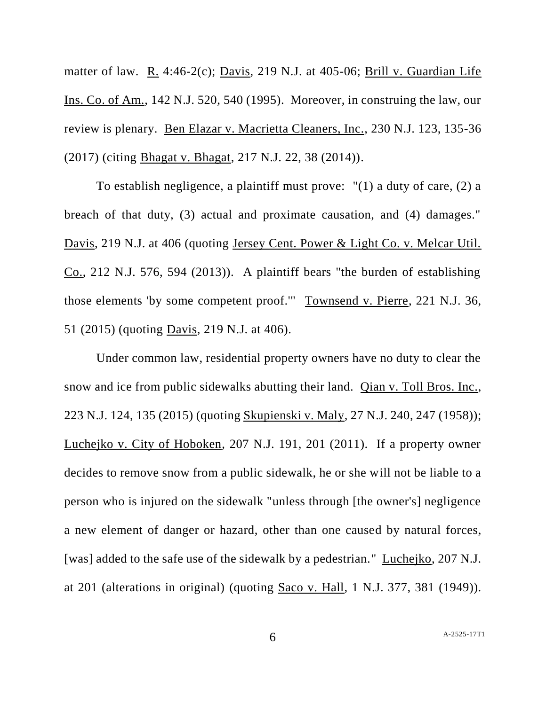matter of law. R. 4:46-2(c); Davis, 219 N.J. at 405-06; Brill v. Guardian Life Ins. Co. of Am., 142 N.J. 520, 540 (1995). Moreover, in construing the law, our review is plenary. Ben Elazar v. Macrietta Cleaners, Inc., 230 N.J. 123, 135-36 (2017) (citing Bhagat v. Bhagat, 217 N.J. 22, 38 (2014)).

To establish negligence, a plaintiff must prove: "(1) a duty of care, (2) a breach of that duty, (3) actual and proximate causation, and (4) damages." Davis, 219 N.J. at 406 (quoting Jersey Cent. Power & Light Co. v. Melcar Util.  $Co., 212$  N.J. 576, 594 (2013)). A plaintiff bears "the burden of establishing those elements 'by some competent proof.'" Townsend v. Pierre, 221 N.J. 36, 51 (2015) (quoting Davis, 219 N.J. at 406).

Under common law, residential property owners have no duty to clear the snow and ice from public sidewalks abutting their land. Qian v. Toll Bros. Inc., 223 N.J. 124, 135 (2015) (quoting Skupienski v. Maly, 27 N.J. 240, 247 (1958)); Luchejko v. City of Hoboken, 207 N.J. 191, 201 (2011). If a property owner decides to remove snow from a public sidewalk, he or she will not be liable to a person who is injured on the sidewalk "unless through [the owner's] negligence a new element of danger or hazard, other than one caused by natural forces, [was] added to the safe use of the sidewalk by a pedestrian." Luchejko, 207 N.J. at 201 (alterations in original) (quoting Saco v. Hall, 1 N.J. 377, 381 (1949)).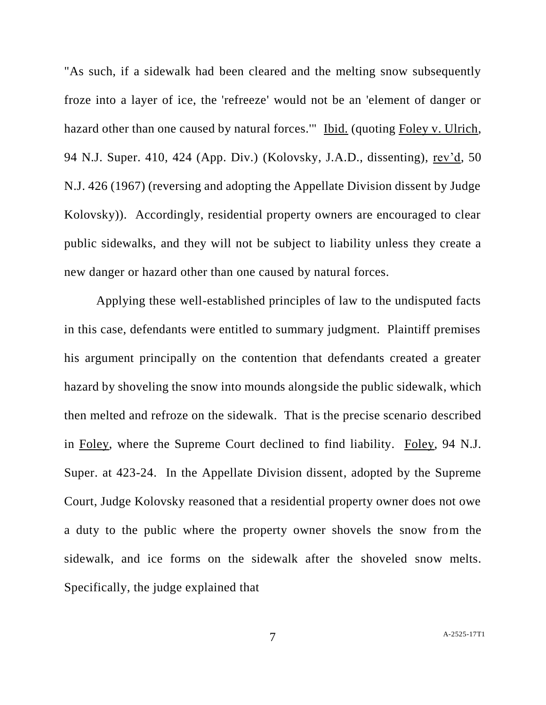"As such, if a sidewalk had been cleared and the melting snow subsequently froze into a layer of ice, the 'refreeze' would not be an 'element of danger or hazard other than one caused by natural forces.'" Ibid. (quoting Foley v. Ulrich, 94 N.J. Super. 410, 424 (App. Div.) (Kolovsky, J.A.D., dissenting), rev'd, 50 N.J. 426 (1967) (reversing and adopting the Appellate Division dissent by Judge Kolovsky)). Accordingly, residential property owners are encouraged to clear public sidewalks, and they will not be subject to liability unless they create a new danger or hazard other than one caused by natural forces.

Applying these well-established principles of law to the undisputed facts in this case, defendants were entitled to summary judgment. Plaintiff premises his argument principally on the contention that defendants created a greater hazard by shoveling the snow into mounds alongside the public sidewalk, which then melted and refroze on the sidewalk. That is the precise scenario described in Foley, where the Supreme Court declined to find liability. Foley, 94 N.J. Super. at 423-24. In the Appellate Division dissent, adopted by the Supreme Court, Judge Kolovsky reasoned that a residential property owner does not owe a duty to the public where the property owner shovels the snow from the sidewalk, and ice forms on the sidewalk after the shoveled snow melts. Specifically, the judge explained that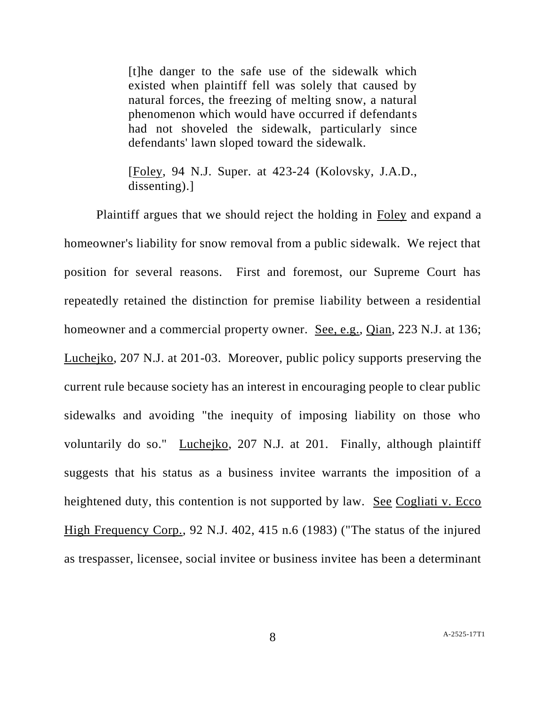[t]he danger to the safe use of the sidewalk which existed when plaintiff fell was solely that caused by natural forces, the freezing of melting snow, a natural phenomenon which would have occurred if defendants had not shoveled the sidewalk, particularly since defendants' lawn sloped toward the sidewalk.

[Foley, 94 N.J. Super. at 423-24 (Kolovsky, J.A.D., dissenting).]

Plaintiff argues that we should reject the holding in Foley and expand a homeowner's liability for snow removal from a public sidewalk. We reject that position for several reasons. First and foremost, our Supreme Court has repeatedly retained the distinction for premise liability between a residential homeowner and a commercial property owner. See, e.g., Qian, 223 N.J. at 136; Luchejko, 207 N.J. at 201-03. Moreover, public policy supports preserving the current rule because society has an interest in encouraging people to clear public sidewalks and avoiding "the inequity of imposing liability on those who voluntarily do so." Luchejko, 207 N.J. at 201. Finally, although plaintiff suggests that his status as a business invitee warrants the imposition of a heightened duty, this contention is not supported by law. See Cogliati v. Ecco High Frequency Corp., 92 N.J. 402, 415 n.6 (1983) ("The status of the injured as trespasser, licensee, social invitee or business invitee has been a determinant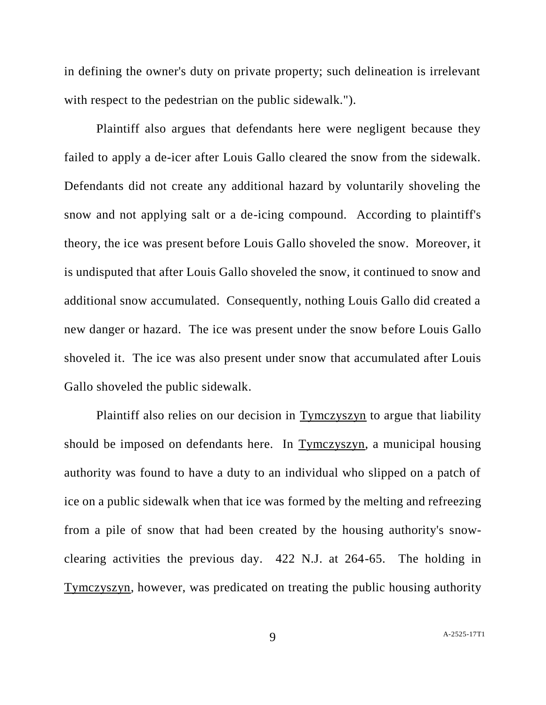in defining the owner's duty on private property; such delineation is irrelevant with respect to the pedestrian on the public sidewalk.").

Plaintiff also argues that defendants here were negligent because they failed to apply a de-icer after Louis Gallo cleared the snow from the sidewalk. Defendants did not create any additional hazard by voluntarily shoveling the snow and not applying salt or a de-icing compound. According to plaintiff's theory, the ice was present before Louis Gallo shoveled the snow. Moreover, it is undisputed that after Louis Gallo shoveled the snow, it continued to snow and additional snow accumulated. Consequently, nothing Louis Gallo did created a new danger or hazard. The ice was present under the snow before Louis Gallo shoveled it. The ice was also present under snow that accumulated after Louis Gallo shoveled the public sidewalk.

Plaintiff also relies on our decision in Tymczyszyn to argue that liability should be imposed on defendants here. In Tymczyszyn, a municipal housing authority was found to have a duty to an individual who slipped on a patch of ice on a public sidewalk when that ice was formed by the melting and refreezing from a pile of snow that had been created by the housing authority's snowclearing activities the previous day. 422 N.J. at 264-65. The holding in Tymczyszyn, however, was predicated on treating the public housing authority